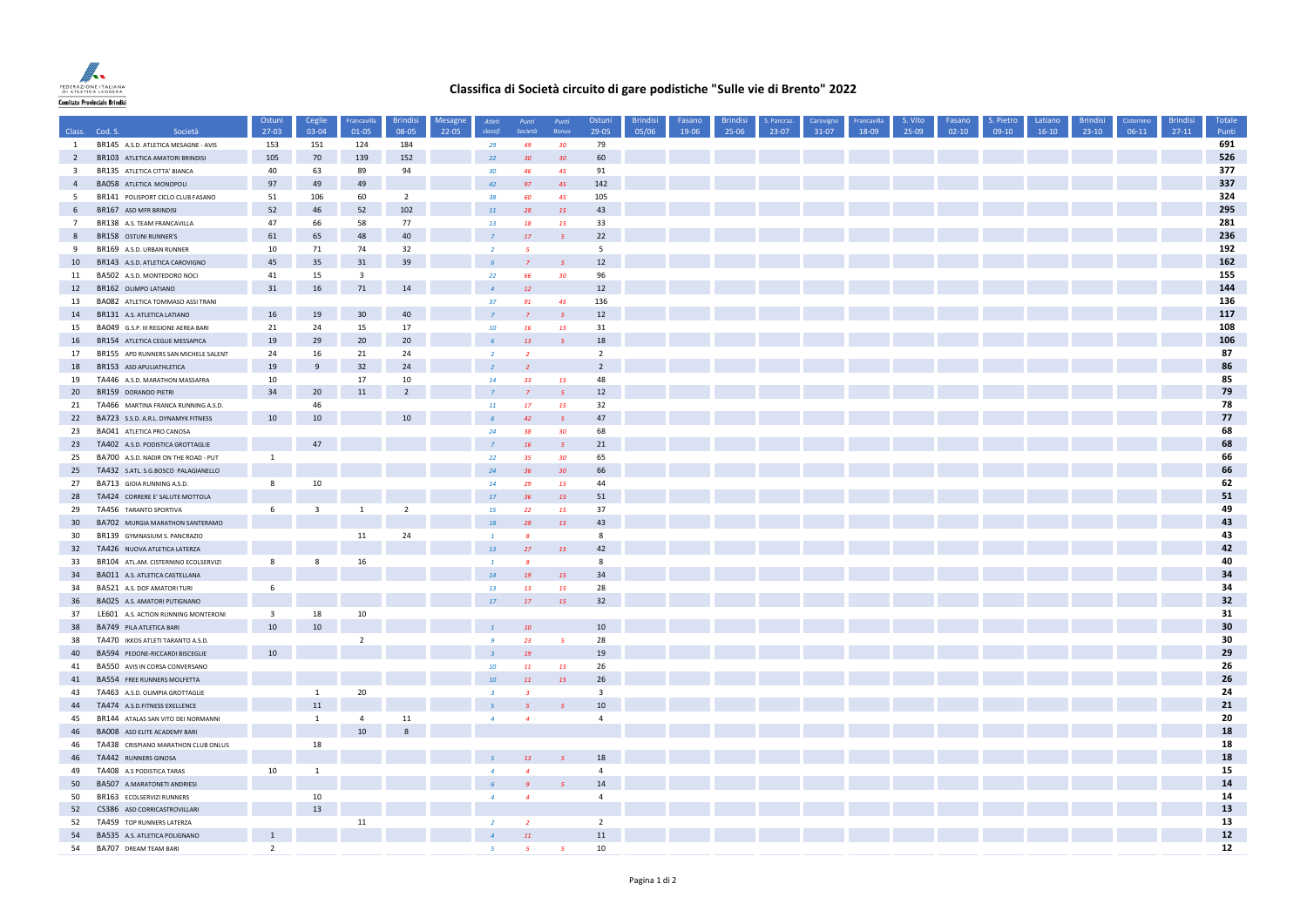

## **Classifica di Società circuito di gare podistiche "Sulle vie di Brento" 2022**

|                         |                                                                    | Ostuni                  | Ceglie                  | Francavilla             | <b>Brindisi</b>  | Mesagne | Atleti         | Punti                    | Punti                    | Ostuni                        | <b>Brindisi</b> | Fasano | <b>Brindisi</b> | . Pancraz | Carovigno | Francavilla | S. Vito | Fasano  | S. Pietro | Latiano | <b>Brindisi</b> | Cisternino | <b>Brindisi</b> | Totale     |
|-------------------------|--------------------------------------------------------------------|-------------------------|-------------------------|-------------------------|------------------|---------|----------------|--------------------------|--------------------------|-------------------------------|-----------------|--------|-----------------|-----------|-----------|-------------|---------|---------|-----------|---------|-----------------|------------|-----------------|------------|
|                         | Class. Cod. S.<br>Società                                          | 27-03                   | 03-04                   | 01-05                   | 08-05            | 22-05   | classif        | Società                  | <b>Bonus</b>             | 29-05                         | 05/06           | 19-06  | 25-06           | 23-07     | $31-07$   | 18-09       | 25-09   | $02-10$ | $09-10$   | $16-10$ | $23-10$         | $06-11$    | $27-11$         | Punti      |
| <sup>1</sup>            | BR145 A.S.D. ATLETICA MESAGNE - AVIS                               | 153                     | 151                     | 124                     | 184              |         | 29             | 49                       | 30 <sup>°</sup>          | 79                            |                 |        |                 |           |           |             |         |         |           |         |                 |            |                 | 691        |
| $\overline{2}$          | BR103 ATLETICA AMATORI BRINDISI                                    | 105                     | 70                      | 139                     | 152              |         | 22             | 30                       | 30                       | 60                            |                 |        |                 |           |           |             |         |         |           |         |                 |            |                 | 526        |
| $\overline{\mathbf{3}}$ | BR135 ATLETICA CITTA' BIANCA                                       | 40                      | 63                      | 89                      | 94               |         | 30             | 46                       | 45                       | 91                            |                 |        |                 |           |           |             |         |         |           |         |                 |            |                 | 377<br>337 |
| $\overline{4}$          | <b>BA058 ATLETICA MONOPOLI</b>                                     | 97                      | 49                      | 49                      | $\overline{2}$   |         | 42<br>38       | 97                       | 45                       | 142                           |                 |        |                 |           |           |             |         |         |           |         |                 |            |                 | 324        |
| $5\overline{5}$<br>6    | BR141 POLISPORT CICLO CLUB FASANO<br>BR167 ASD MFR BRINDISI        | 51<br>52                | 106<br>46               | 60<br>52                | 102              |         |                | 60                       | 45                       | 105<br>43                     |                 |        |                 |           |           |             |         |         |           |         |                 |            |                 | 295        |
|                         |                                                                    | 47                      | 66                      | 58                      | 77               |         | $11\,$         | 28                       | 15                       | 33                            |                 |        |                 |           |           |             |         |         |           |         |                 |            |                 | 281        |
| $7\overline{ }$<br>8    | BR138 A.S. TEAM FRANCAVILLA<br>BR158 OSTUNI RUNNER'S               | 61                      | 65                      | 48                      | 40               |         | 13             | 18<br>17                 | 15                       | 22                            |                 |        |                 |           |           |             |         |         |           |         |                 |            |                 | 236        |
| 9                       | BR169 A.S.D. URBAN RUNNER                                          | 10                      | 71                      | 74                      | 32               |         | $\overline{2}$ | $\overline{\phantom{a}}$ |                          | 5                             |                 |        |                 |           |           |             |         |         |           |         |                 |            |                 | 192        |
| 10                      | BR143 A.S.D. ATLETICA CAROVIGNO                                    | 45                      | 35                      | 31                      | 39               |         |                |                          | -5                       | 12                            |                 |        |                 |           |           |             |         |         |           |         |                 |            |                 | 162        |
| 11                      | BA502 A.S.D. MONTEDORO NOCI                                        | 41                      | 15                      | $\overline{\mathbf{3}}$ |                  |         | 22             | 66                       | 30 <sub>2</sub>          | 96                            |                 |        |                 |           |           |             |         |         |           |         |                 |            |                 | 155        |
| 12                      | BR162 OLIMPO LATIANO                                               | 31                      | 16                      | 71                      | 14               |         |                | 12                       |                          | 12                            |                 |        |                 |           |           |             |         |         |           |         |                 |            |                 | 144        |
| 13                      | BA082 ATLETICA TOMMASO ASSI TRANI                                  |                         |                         |                         |                  |         | 37             | 91                       | 45                       | 136                           |                 |        |                 |           |           |             |         |         |           |         |                 |            |                 | 136        |
| 14                      | BR131 A.S. ATLETICA LATIANO                                        | 16                      | 19                      | 30                      | 40               |         |                |                          | $\overline{\phantom{a}}$ | $12$                          |                 |        |                 |           |           |             |         |         |           |         |                 |            |                 | 117        |
| 15                      | BA049 G.S.P. III REGIONE AEREA BARI                                | 21                      | 24                      | 15                      | 17               |         | 10             | 16                       | 15                       | 31                            |                 |        |                 |           |           |             |         |         |           |         |                 |            |                 | 108        |
| 16                      | BR154 ATLETICA CEGLIE MESSAPICA                                    | 19                      | 29                      | 20                      | 20               |         |                | 13                       | $\overline{5}$           | 18                            |                 |        |                 |           |           |             |         |         |           |         |                 |            |                 | 106        |
| 17                      | BR155 APD RUNNERS SAN MICHELE SALENT                               | 24                      | 16                      | 21                      | 24               |         | $\overline{2}$ | $\overline{2}$           |                          | $\overline{2}$                |                 |        |                 |           |           |             |         |         |           |         |                 |            |                 | 87         |
| 18                      | BR153 ASD APULIATHLETICA                                           | 19                      | $\overline{9}$          | 32                      | 24               |         |                |                          |                          | $\overline{2}$                |                 |        |                 |           |           |             |         |         |           |         |                 |            |                 | 86         |
| 19                      | TA446 A.S.D. MARATHON MASSAFRA                                     | 10                      |                         | 17                      | 10               |         | 14             | 33                       | 15                       | 48                            |                 |        |                 |           |           |             |         |         |           |         |                 |            |                 | 85         |
| 20                      | BR159 DORANDO PIETRI                                               | 34                      | 20                      | 11                      | $\overline{2}$   |         | $\overline{z}$ |                          | $-5$                     | $12$                          |                 |        |                 |           |           |             |         |         |           |         |                 |            |                 | 79         |
| 21                      | TA466 MARTINA FRANCA RUNNING A.S.D.                                |                         | 46                      |                         |                  |         | <b>11</b>      | <b>17</b>                | <b>15</b>                | 32                            |                 |        |                 |           |           |             |         |         |           |         |                 |            |                 | 78         |
| 22                      | BA723 S.S.D. A.R.L. DYNAMYK FITNESS                                | 10                      | 10                      |                         | 10 <sup>10</sup> |         |                | 42 <sup>°</sup>          |                          | 47                            |                 |        |                 |           |           |             |         |         |           |         |                 |            |                 | 77         |
| 23                      | BA041 ATLETICA PRO CANOSA                                          |                         |                         |                         |                  |         | 24             | 38                       | 30                       | 68                            |                 |        |                 |           |           |             |         |         |           |         |                 |            |                 | 68         |
| 23                      | TA402 A.S.D. PODISTICA GROTTAGLIE                                  |                         | 47                      |                         |                  |         |                | 16                       | $\overline{5}$           | 21                            |                 |        |                 |           |           |             |         |         |           |         |                 |            |                 | 68         |
| 25                      | BA700 A.S.D. NADIR ON THE ROAD - PUT                               | $\mathbf{1}$            |                         |                         |                  |         | 22             | 35                       | 30 <sup>2</sup>          | 65                            |                 |        |                 |           |           |             |         |         |           |         |                 |            |                 | 66         |
| 25                      | TA432 S.ATL. S.G.BOSCO PALAGIANELLO                                |                         |                         |                         |                  |         | 24             | 36                       | 30                       | 66                            |                 |        |                 |           |           |             |         |         |           |         |                 |            |                 | 66         |
| 27                      | BA713 GIOIA RUNNING A.S.D.                                         | 8                       | 10                      |                         |                  |         | 14             | 29                       | 15                       | 44                            |                 |        |                 |           |           |             |         |         |           |         |                 |            |                 | 62         |
| 28                      | TA424 CORRERE E' SALUTE MOTTOLA                                    |                         |                         |                         |                  |         | 17             | 36                       | 15                       | 51                            |                 |        |                 |           |           |             |         |         |           |         |                 |            |                 | 51         |
| 29                      | TA456 TARANTO SPORTIVA                                             | 6                       | $\overline{\mathbf{3}}$ | $\mathbf{1}$            | $\overline{2}$   |         | 15             | 22                       | <b>15</b>                | 37                            |                 |        |                 |           |           |             |         |         |           |         |                 |            |                 | 49         |
| 30 <sup>°</sup>         | BA702 MURGIA MARATHON SANTERAMO                                    |                         |                         |                         |                  |         | 18             | 28                       | 15                       | 43                            |                 |        |                 |           |           |             |         |         |           |         |                 |            |                 | 43         |
| 30                      | BR139 GYMNASIUM S. PANCRAZIO                                       |                         |                         | 11                      | 24               |         | $\mathbf{1}$   | $\mathcal{R}$            |                          | 8                             |                 |        |                 |           |           |             |         |         |           |         |                 |            |                 | 43         |
| 32                      | TA426 NUOVA ATLETICA LATERZA                                       |                         |                         |                         |                  |         | 13             | 27                       | <b>15</b>                | 42                            |                 |        |                 |           |           |             |         |         |           |         |                 |            |                 | 42         |
| 33                      | BR104 ATL.AM. CISTERNINO ECOLSERVIZI                               | 8                       | 8                       | 16                      |                  |         | $\mathbf{1}$   | R                        |                          | 8                             |                 |        |                 |           |           |             |         |         |           |         |                 |            |                 | 40         |
| 34                      | BA011 A.S. ATLETICA CASTELLANA                                     |                         |                         |                         |                  |         | 14             | 19                       | <b>15</b>                | 34                            |                 |        |                 |           |           |             |         |         |           |         |                 |            |                 | 34         |
| 34                      | BA521 A.S. DOF AMATORI TURI                                        | 6                       |                         |                         |                  |         | 13             | 13                       | <b>15</b>                | 28                            |                 |        |                 |           |           |             |         |         |           |         |                 |            |                 | 34         |
| 36                      | BA025 A.S. AMATORI PUTIGNANO                                       |                         |                         |                         |                  |         | 17             | 17                       | <b>15</b>                | 32                            |                 |        |                 |           |           |             |         |         |           |         |                 |            |                 | 32         |
| 37                      | LE601 A.S. ACTION RUNNING MONTERONI                                | $\overline{\mathbf{3}}$ | 18                      | 10                      |                  |         |                |                          |                          |                               |                 |        |                 |           |           |             |         |         |           |         |                 |            |                 | 31         |
| 38                      | BA749 PILA ATLETICA BARI                                           | $10\,$                  | 10                      |                         |                  |         |                | 10                       |                          | 10                            |                 |        |                 |           |           |             |         |         |           |         |                 |            |                 | 30         |
| 38                      | TA470 IKKOS ATLETI TARANTO A.S.D.                                  |                         |                         | $\overline{2}$          |                  |         | $\mathbf{q}$   | 23                       | 5 <sup>7</sup>           | 28                            |                 |        |                 |           |           |             |         |         |           |         |                 |            |                 | 30         |
| 40                      | BA594 PEDONE-RICCARDI BISCEGLIE                                    | 10                      |                         |                         |                  |         |                | 19                       |                          | 19                            |                 |        |                 |           |           |             |         |         |           |         |                 |            |                 | 29         |
| 41                      | BA550 AVIS IN CORSA CONVERSANO                                     |                         |                         |                         |                  |         | 10             | 11                       | <b>15</b>                | 26                            |                 |        |                 |           |           |             |         |         |           |         |                 |            |                 | 26<br>26   |
| 41<br>43                | BA554 FREE RUNNERS MOLFETTA                                        |                         |                         | 20                      |                  |         | 10             | 11                       | <b>15</b>                | 26<br>$\overline{\mathbf{3}}$ |                 |        |                 |           |           |             |         |         |           |         |                 |            |                 | 24         |
|                         | TA463 A.S.D. OLIMPIA GROTTAGLIE                                    |                         | $\mathbf{1}$<br>11      |                         |                  |         | $\mathbf{R}$   |                          |                          | 10                            |                 |        |                 |           |           |             |         |         |           |         |                 |            |                 | 21         |
| 44                      | TA474 A.S.D.FITNESS EXELLENCE                                      |                         |                         | $\overline{4}$          | 11               |         |                |                          |                          | $\overline{4}$                |                 |        |                 |           |           |             |         |         |           |         |                 |            |                 | 20         |
| 45<br>46                | BR144 ATALAS SAN VITO DEI NORMANNI<br>BA008 ASD ELITE ACADEMY BARI |                         | <sup>1</sup>            | 10                      |                  |         |                |                          |                          |                               |                 |        |                 |           |           |             |         |         |           |         |                 |            |                 | 18         |
| 46                      | TA438 CRISPIANO MARATHON CLUB ONLUS                                |                         | 18                      |                         |                  |         |                |                          |                          |                               |                 |        |                 |           |           |             |         |         |           |         |                 |            |                 | 18         |
| 46                      | TA442 RUNNERS GINOSA                                               |                         |                         |                         |                  |         |                | 13                       |                          | 18                            |                 |        |                 |           |           |             |         |         |           |         |                 |            |                 | 18         |
| 49                      | TA408 A.S PODISTICA TARAS                                          | 10                      | 1                       |                         |                  |         |                |                          |                          | $\overline{4}$                |                 |        |                 |           |           |             |         |         |           |         |                 |            |                 | 15         |
| 50                      | BA507 A.MARATONETI ANDRIESI                                        |                         |                         |                         |                  |         |                |                          |                          | 14                            |                 |        |                 |           |           |             |         |         |           |         |                 |            |                 | 14         |
| 50                      | BR163 ECOLSERVIZI RUNNERS                                          |                         | 10                      |                         |                  |         | $\overline{a}$ | $\overline{a}$           |                          | $\overline{4}$                |                 |        |                 |           |           |             |         |         |           |         |                 |            |                 | 14         |
| 52                      | CS386 ASD CORRICASTROVILLARI                                       |                         | 13                      |                         |                  |         |                |                          |                          |                               |                 |        |                 |           |           |             |         |         |           |         |                 |            |                 | 13         |
| 52                      | TA459 TOP RUNNERS LATERZA                                          |                         |                         | 11                      |                  |         | $\overline{2}$ | $\overline{2}$           |                          | $\overline{2}$                |                 |        |                 |           |           |             |         |         |           |         |                 |            |                 | 13         |
| 54                      | BA535 A.S. ATLETICA POLIGNANO                                      | $\overline{1}$          |                         |                         |                  |         |                | 11                       |                          | 11                            |                 |        |                 |           |           |             |         |         |           |         |                 |            |                 | $12$       |
| 54                      | BA707 DREAM TEAM BARI                                              | $\overline{2}$          |                         |                         |                  |         | -S             |                          | $\mathbf{R}$             | 10                            |                 |        |                 |           |           |             |         |         |           |         |                 |            |                 | 12         |